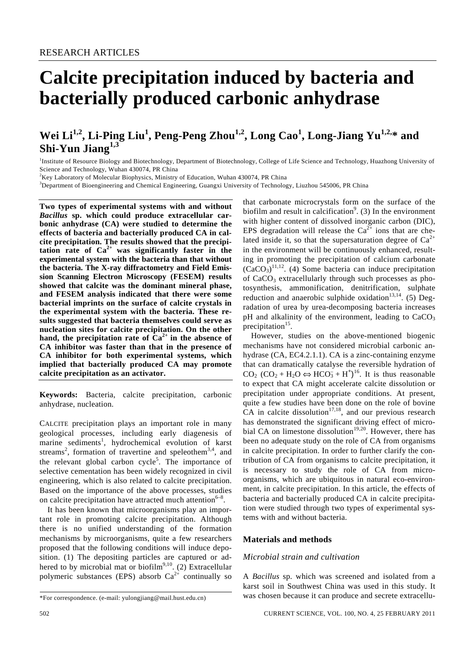# **Calcite precipitation induced by bacteria and bacterially produced carbonic anhydrase**

# **Wei Li1,2, Li-Ping Liu1 , Peng-Peng Zhou1,2, Long Cao1 , Long-Jiang Yu1,2,\* and Shi-Yun Jiang1,3**

<sup>1</sup>Institute of Resource Biology and Biotechnology, Department of Biotechnology, College of Life Science and Technology, Huazhong University of Science and Technology, Wuhan 430074, PR China

<sup>2</sup>Key Laboratory of Molecular Biophysics, Ministry of Education, Wuhan 430074, PR China <sup>3</sup><br><sup>3</sup>Department of Biograinearing and Chamical Engineering, Guangxi University of Technology

<sup>3</sup>Department of Bioengineering and Chemical Engineering, Guangxi University of Technology, Liuzhou 545006, PR China

**Two types of experimental systems with and without**  *Bacillus* **sp. which could produce extracellular carbonic anhydrase (CA) were studied to determine the effects of bacteria and bacterially produced CA in calcite precipitation. The results showed that the precipitation rate of Ca2+ was significantly faster in the experimental system with the bacteria than that without the bacteria. The X-ray diffractometry and Field Emission Scanning Electron Microscopy (FESEM) results showed that calcite was the dominant mineral phase, and FESEM analysis indicated that there were some bacterial imprints on the surface of calcite crystals in the experimental system with the bacteria. These results suggested that bacteria themselves could serve as nucleation sites for calcite precipitation. On the other**  hand, the precipitation rate of  $Ca^{2+}$  in the absence of **CA inhibitor was faster than that in the presence of CA inhibitor for both experimental systems, which implied that bacterially produced CA may promote calcite precipitation as an activator.** 

**Keywords:** Bacteria, calcite precipitation, carbonic anhydrase, nucleation.

CALCITE precipitation plays an important role in many geological processes, including early diagenesis of marine sediments<sup>1</sup>, hydrochemical evolution of karst streams<sup>2</sup>, formation of travertine and speleothem<sup>3,4</sup>, and the relevant global carbon cycle<sup>5</sup>. The importance of selective cementation has been widely recognized in civil engineering, which is also related to calcite precipitation. Based on the importance of the above processes, studies on calcite precipitation have attracted much attention<sup>6–8</sup>.

 It has been known that microorganisms play an important role in promoting calcite precipitation. Although there is no unified understanding of the formation mechanisms by microorganisms, quite a few researchers proposed that the following conditions will induce deposition. (1) The depositing particles are captured or adhered to by microbial mat or biofilm<sup>9,10</sup>. (2) Extracellular polymeric substances (EPS) absorb  $Ca^{2+}$  continually so that carbonate microcrystals form on the surface of the biofilm and result in calcification<sup>9</sup>. (3) In the environment with higher content of dissolved inorganic carbon (DIC), EPS degradation will release the  $Ca^{2+}$  ions that are chelated inside it, so that the supersaturation degree of  $Ca^{2+}$ in the environment will be continuously enhanced, resulting in promoting the precipitation of calcium carbonate  $(CaCO<sub>3</sub>)<sup>11,12</sup>$ . (4) Some bacteria can induce precipitation of CaCO<sub>3</sub> extracellularly through such processes as photosynthesis, ammonification, denitrification, sulphate reduction and anaerobic sulphide oxidation<sup>13,14</sup>. (5) Degradation of urea by urea-decomposing bacteria increases pH and alkalinity of the environment, leading to  $CaCO<sub>3</sub>$ precipitation $15$ .

 However, studies on the above-mentioned biogenic mechanisms have not considered microbial carbonic anhydrase (CA, EC4.2.1.1). CA is a zinc-containing enzyme that can dramatically catalyse the reversible hydration of  $CO_2$  (CO<sub>2</sub> + H<sub>2</sub>O  $\Leftrightarrow$  HCO<sub>3</sub> + H<sup>+</sup>)<sup>16</sup>. It is thus reasonable to expect that CA might accelerate calcite dissolution or precipitation under appropriate conditions. At present, quite a few studies have been done on the role of bovine CA in calcite dissolution<sup>17,18</sup>, and our previous research has demonstrated the significant driving effect of microbial CA on limestone dissolution<sup>19,20</sup>. However, there has been no adequate study on the role of CA from organisms in calcite precipitation. In order to further clarify the contribution of CA from organisms to calcite precipitation, it is necessary to study the role of CA from microorganisms, which are ubiquitous in natural eco-environment, in calcite precipitation. In this article, the effects of bacteria and bacterially produced CA in calcite precipitation were studied through two types of experimental systems with and without bacteria.

# **Materials and methods**

# *Microbial strain and cultivation*

A *Bacillus* sp. which was screened and isolated from a karst soil in Southwest China was used in this study. It was chosen because it can produce and secrete extracellu-

<sup>\*</sup>For correspondence. (e-mail: yulongjiang@mail.hust.edu.cn)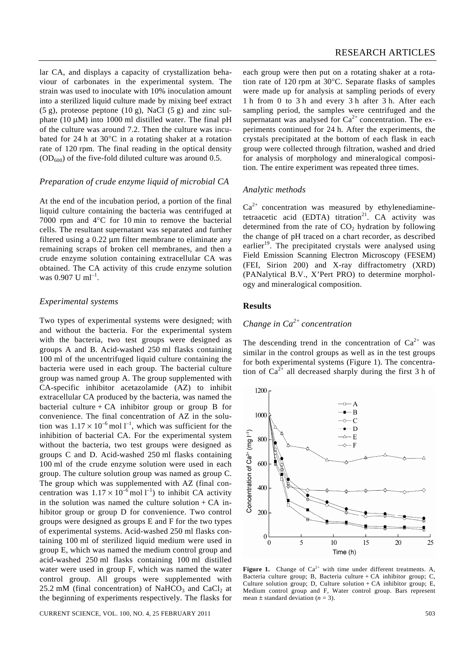lar CA, and displays a capacity of crystallization behaviour of carbonates in the experimental system. The strain was used to inoculate with 10% inoculation amount into a sterilized liquid culture made by mixing beef extract  $(5 g)$ , proteose peptone  $(10 g)$ , NaCl  $(5 g)$  and zinc sulphate (10 μM) into 1000 ml distilled water. The final pH of the culture was around 7.2. Then the culture was incubated for 24 h at 30°C in a rotating shaker at a rotation rate of 120 rpm. The final reading in the optical density  $(OD<sub>600</sub>)$  of the five-fold diluted culture was around 0.5.

# *Preparation of crude enzyme liquid of microbial CA*

At the end of the incubation period, a portion of the final liquid culture containing the bacteria was centrifuged at 7000 rpm and 4°C for 10 min to remove the bacterial cells. The resultant supernatant was separated and further filtered using a 0.22 μm filter membrane to eliminate any remaining scraps of broken cell membranes, and then a crude enzyme solution containing extracellular CA was obtained. The CA activity of this crude enzyme solution was 0.907 U m $l^{-1}$ .

# *Experimental systems*

Two types of experimental systems were designed; with and without the bacteria. For the experimental system with the bacteria, two test groups were designed as groups A and B. Acid-washed 250 ml flasks containing 100 ml of the uncentrifuged liquid culture containing the bacteria were used in each group. The bacterial culture group was named group A. The group supplemented with CA-specific inhibitor acetazolamide (AZ) to inhibit extracellular CA produced by the bacteria, was named the bacterial culture  $+ CA$  inhibitor group or group B for convenience. The final concentration of AZ in the solution was  $1.17 \times 10^{-6}$  mol  $1^{-1}$ , which was sufficient for the inhibition of bacterial CA. For the experimental system without the bacteria, two test groups were designed as groups C and D. Acid-washed 250 ml flasks containing 100 ml of the crude enzyme solution were used in each group. The culture solution group was named as group C. The group which was supplemented with AZ (final concentration was  $1.17 \times 10^{-6}$  mol l<sup>-1</sup>) to inhibit CA activity in the solution was named the culture solution  $+ CA$  inhibitor group or group D for convenience. Two control groups were designed as groups E and F for the two types of experimental systems. Acid-washed 250 ml flasks containing 100 ml of sterilized liquid medium were used in group E, which was named the medium control group and acid-washed 250 ml flasks containing 100 ml distilled water were used in group F, which was named the water control group. All groups were supplemented with 25.2 mM (final concentration) of NaHCO<sub>3</sub> and CaCl<sub>2</sub> at the beginning of experiments respectively. The flasks for

CURRENT SCIENCE, VOL. 100, NO. 4, 25 FEBRUARY 2011 503

each group were then put on a rotating shaker at a rotation rate of 120 rpm at 30°C. Separate flasks of samples were made up for analysis at sampling periods of every 1 h from 0 to 3 h and every 3 h after 3 h. After each sampling period, the samples were centrifuged and the supernatant was analysed for  $Ca^{2+}$  concentration. The experiments continued for 24 h. After the experiments, the crystals precipitated at the bottom of each flask in each group were collected through filtration, washed and dried for analysis of morphology and mineralogical composition. The entire experiment was repeated three times.

## *Analytic methods*

 $Ca<sup>2+</sup>$  concentration was measured by ethylenediaminetetraacetic acid (EDTA) titration<sup>21</sup>. CA activity was determined from the rate of  $CO<sub>2</sub>$  hydration by following the change of pH traced on a chart recorder, as described earlier<sup>19</sup>. The precipitated crystals were analysed using Field Emission Scanning Electron Microscopy (FESEM) (FEI, Sirion 200) and X-ray diffractometry (XRD) (PANalytical B.V., X'Pert PRO) to determine morphology and mineralogical composition.

# **Results**

# *Change in Ca2+ concentration*

The descending trend in the concentration of  $Ca^{2+}$  was similar in the control groups as well as in the test groups for both experimental systems (Figure 1). The concentration of  $Ca^{2+}$  all decreased sharply during the first 3 h of



**Figure 1.** Change of  $Ca^{2+}$  with time under different treatments. A, Bacteria culture group; B, Bacteria culture + CA inhibitor group; C, Culture solution group; D, Culture solution + CA inhibitor group; E, Medium control group and F, Water control group. Bars represent mean  $\pm$  standard deviation ( $n = 3$ ).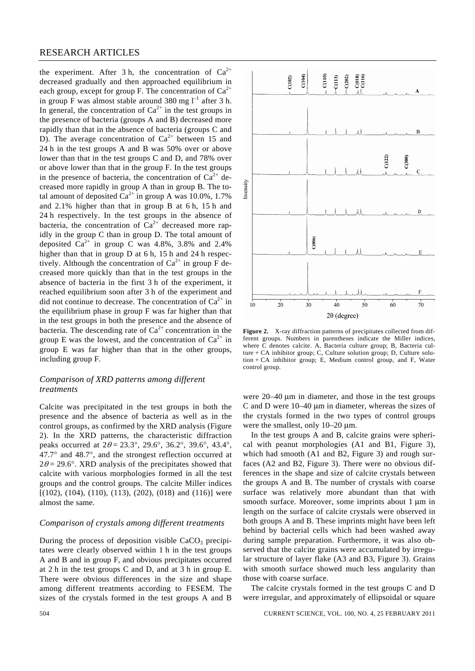the experiment. After 3 h, the concentration of  $Ca^{2+}$ decreased gradually and then approached equilibrium in each group, except for group F. The concentration of  $Ca^{2+}$ in group F was almost stable around 380 mg  $l^{-1}$  after 3 h. In general, the concentration of  $Ca^{2+}$  in the test groups in the presence of bacteria (groups A and B) decreased more rapidly than that in the absence of bacteria (groups C and D). The average concentration of  $Ca^{2+}$  between 15 and 24 h in the test groups A and B was 50% over or above lower than that in the test groups C and D, and 78% over or above lower than that in the group F. In the test groups in the presence of bacteria, the concentration of  $Ca^{2+}$  decreased more rapidly in group A than in group B. The total amount of deposited  $Ca^{2+}$  in group A was 10.0%, 1.7% and 2.1% higher than that in group B at 6 h, 15 h and 24 h respectively. In the test groups in the absence of bacteria, the concentration of  $Ca^{2+}$  decreased more rapidly in the group C than in group D. The total amount of deposited  $Ca^{2+}$  in group C was 4.8%, 3.8% and 2.4% higher than that in group D at 6 h, 15 h and 24 h respectively. Although the concentration of  $Ca^{2+}$  in group F decreased more quickly than that in the test groups in the absence of bacteria in the first 3 h of the experiment, it reached equilibrium soon after 3 h of the experiment and did not continue to decrease. The concentration of  $Ca^{2+}$  in the equilibrium phase in group F was far higher than that in the test groups in both the presence and the absence of bacteria. The descending rate of  $Ca^{2+}$  concentration in the group E was the lowest, and the concentration of  $Ca^{2+}$  in group E was far higher than that in the other groups, including group F.

# *Comparison of XRD patterns among different treatments*

Calcite was precipitated in the test groups in both the presence and the absence of bacteria as well as in the control groups, as confirmed by the XRD analysis (Figure 2). In the XRD patterns, the characteristic diffraction peaks occurred at  $2\theta = 23.3^{\circ}$ ,  $29.6^{\circ}$ ,  $36.2^{\circ}$ ,  $39.6^{\circ}$ ,  $43.4^{\circ}$ , 47.7° and 48.7°, and the strongest reflection occurred at  $2\theta = 29.6^{\circ}$ . XRD analysis of the precipitates showed that calcite with various morphologies formed in all the test groups and the control groups. The calcite Miller indices  $[(102), (104), (110), (113), (202), (018)$  and  $(116)]$  were almost the same.

#### *Comparison of crystals among different treatments*

During the process of deposition visible  $CaCO<sub>3</sub>$  precipitates were clearly observed within 1 h in the test groups A and B and in group F, and obvious precipitates occurred at 2 h in the test groups C and D, and at 3 h in group E. There were obvious differences in the size and shape among different treatments according to FESEM. The sizes of the crystals formed in the test groups A and B



**Figure 2.** X-ray diffraction patterns of precipitates collected from different groups. Numbers in parentheses indicate the Miller indices, where C denotes calcite. A, Bacteria culture group; B, Bacteria culture + CA inhibitor group; C, Culture solution group; D, Culture solution + CA inhibitor group; E, Medium control group, and F, Water control group.

were 20–40 μm in diameter, and those in the test groups C and D were 10–40 μm in diameter, whereas the sizes of the crystals formed in the two types of control groups were the smallest, only 10–20 μm.

 In the test groups A and B, calcite grains were spherical with peanut morphologies (A1 and B1, Figure 3), which had smooth (A1 and B2, Figure 3) and rough surfaces (A2 and B2, Figure 3). There were no obvious differences in the shape and size of calcite crystals between the groups A and B. The number of crystals with coarse surface was relatively more abundant than that with smooth surface. Moreover, some imprints about 1 μm in length on the surface of calcite crystals were observed in both groups A and B. These imprints might have been left behind by bacterial cells which had been washed away during sample preparation. Furthermore, it was also observed that the calcite grains were accumulated by irregular structure of layer flake (A3 and B3, Figure 3). Grains with smooth surface showed much less angularity than those with coarse surface.

 The calcite crystals formed in the test groups C and D were irregular, and approximately of ellipsoidal or square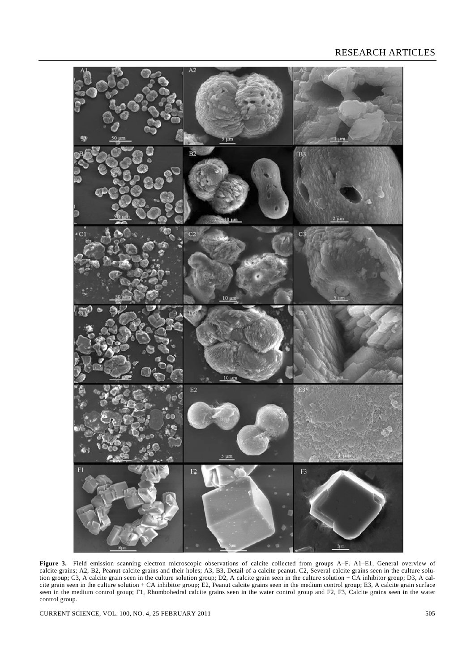

Figure 3. Field emission scanning electron microscopic observations of calcite collected from groups A–F. A1–E1, General overview of calcite grains; A2, B2, Peanut calcite grains and their holes; A3, B3, Detail of a calcite peanut. C2, Several calcite grains seen in the culture solution group; C3, A calcite grain seen in the culture solution group; D2, A calcite grain seen in the culture solution + CA inhibitor group; D3, A calcite grain seen in the culture solution + CA inhibitor group; E2, Peanut calcite grains seen in the medium control group; E3, A calcite grain surface seen in the medium control group; F1, Rhombohedral calcite grains seen in the water control group and F2, F3, Calcite grains seen in the water control group.

CURRENT SCIENCE, VOL. 100, NO. 4, 25 FEBRUARY 2011 505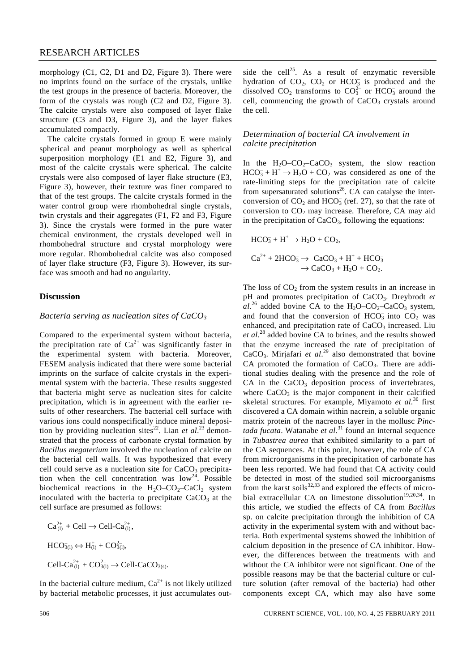morphology (C1, C2, D1 and D2, Figure 3). There were no imprints found on the surface of the crystals, unlike the test groups in the presence of bacteria. Moreover, the form of the crystals was rough (C2 and D2, Figure 3). The calcite crystals were also composed of layer flake structure (C3 and D3, Figure 3), and the layer flakes accumulated compactly.

 The calcite crystals formed in group E were mainly spherical and peanut morphology as well as spherical superposition morphology (E1 and E2, Figure 3), and most of the calcite crystals were spherical. The calcite crystals were also composed of layer flake structure (E3, Figure 3), however, their texture was finer compared to that of the test groups. The calcite crystals formed in the water control group were rhombohedral single crystals, twin crystals and their aggregates (F1, F2 and F3, Figure 3). Since the crystals were formed in the pure water chemical environment, the crystals developed well in rhombohedral structure and crystal morphology were more regular. Rhombohedral calcite was also composed of layer flake structure (F3, Figure 3). However, its surface was smooth and had no angularity.

# **Discussion**

# *Bacteria serving as nucleation sites of CaCO3*

Compared to the experimental system without bacteria, the precipitation rate of  $Ca^{2+}$  was significantly faster in the experimental system with bacteria. Moreover, FESEM analysis indicated that there were some bacterial imprints on the surface of calcite crystals in the experimental system with the bacteria. These results suggested that bacteria might serve as nucleation sites for calcite precipitation, which is in agreement with the earlier results of other researchers. The bacterial cell surface with various ions could nonspecifically induce mineral deposition by providing nucleation sites<sup>22</sup>. Lian *et al.*<sup>23</sup> demonstrated that the process of carbonate crystal formation by *Bacillus megaterium* involved the nucleation of calcite on the bacterial cell walls. It was hypothesized that every cell could serve as a nucleation site for  $CaCO<sub>3</sub>$  precipitation when the cell concentration was  $\text{low}^{24}$ . Possible biochemical reactions in the  $H_2O$ –CO<sub>2</sub>–CaCl<sub>2</sub> system inoculated with the bacteria to precipitate  $CaCO<sub>3</sub>$  at the cell surface are presumed as follows:

$$
Ca_{(1)}^{2+} + Cell \rightarrow Cell-Ca_{(1)}^{2+},
$$
  
\n
$$
HCO_{3(1)}^{+} \Leftrightarrow H_{(1)}^{+} + CO_{3(1)}^{2-},
$$
  
\nCell-Ca<sup>2+</sup><sub>(1)</sub> + CO<sup>2-</sup><sub>3(1)</sub> → Cell-CaCO<sub>3(s)</sub>.

In the bacterial culture medium,  $Ca^{2+}$  is not likely utilized by bacterial metabolic processes, it just accumulates outside the cell<sup>25</sup>. As a result of enzymatic reversible hydration of  $CO<sub>2</sub>$ ,  $CO<sub>2</sub>$  or  $HCO<sub>3</sub>$  is produced and the dissolved  $CO_2$  transforms to  $CO_3^{2-}$  or  $HCO_3^-$  around the cell, commencing the growth of  $CaCO<sub>3</sub>$  crystals around the cell.

# *Determination of bacterial CA involvement in calcite precipitation*

In the  $H_2O$ –C $O_2$ –CaC $O_3$  system, the slow reaction  $HCO<sub>3</sub><sup>3</sup> + H<sup>+</sup> \rightarrow H<sub>2</sub>O + CO<sub>2</sub>$  was considered as one of the rate-limiting steps for the precipitation rate of calcite from supersaturated solutions<sup>26</sup>. CA can catalyse the interconversion of  $CO_2$  and  $HCO_3^-$  (ref. 27), so that the rate of conversion to  $CO<sub>2</sub>$  may increase. Therefore, CA may aid in the precipitation of  $CaCO<sub>3</sub>$ , following the equations:

$$
HCO_3^- + H^+ \rightarrow H_2O + CO_2,
$$
  
\n
$$
Ca^{2+} + 2HCO_3^- \rightarrow CaCO_3 + H^+ + HCO_3^-
$$
  
\n
$$
\rightarrow CaCO_3 + H_2O + CO_2.
$$

The loss of  $CO<sub>2</sub>$  from the system results in an increase in pH and promotes precipitation of CaCO3. Dreybrodt *et*   $al.^{26}$  added bovine CA to the  $H_2O$ –CO<sub>2</sub>–CaCO<sub>3</sub> system, and found that the conversion of  $HCO<sub>3</sub><sup>-</sup>$  into  $CO<sub>2</sub>$  was enhanced, and precipitation rate of  $CaCO<sub>3</sub>$  increased. Liu *et al*. 28 added bovine CA to brines, and the results showed that the enzyme increased the rate of precipitation of  $CaCO<sub>3</sub>$ . Mirjafari *et al.*<sup>29</sup> also demonstrated that bovine  $CA$  promoted the formation of  $CaCO<sub>3</sub>$ . There are additional studies dealing with the presence and the role of CA in the  $CaCO<sub>3</sub>$  deposition process of invertebrates, where  $CaCO<sub>3</sub>$  is the major component in their calcified skeletal structures. For example, Miyamoto *et al*. 30 first discovered a CA domain within nacrein, a soluble organic matrix protein of the nacreous layer in the mollusc *Pinctada fucata*. Watanabe *et al.*31 found an internal sequence in *Tubastrea aurea* that exhibited similarity to a part of the CA sequences. At this point, however, the role of CA from microorganisms in the precipitation of carbonate has been less reported. We had found that CA activity could be detected in most of the studied soil microorganisms from the karst soils<sup>32,33</sup> and explored the effects of microbial extracellular CA on limestone dissolution<sup>19,20,34</sup>. In this article, we studied the effects of CA from *Bacillus*  sp. on calcite precipitation through the inhibition of CA activity in the experimental system with and without bacteria. Both experimental systems showed the inhibition of calcium deposition in the presence of CA inhibitor. However, the differences between the treatments with and without the CA inhibitor were not significant. One of the possible reasons may be that the bacterial culture or culture solution (after removal of the bacteria) had other components except CA, which may also have some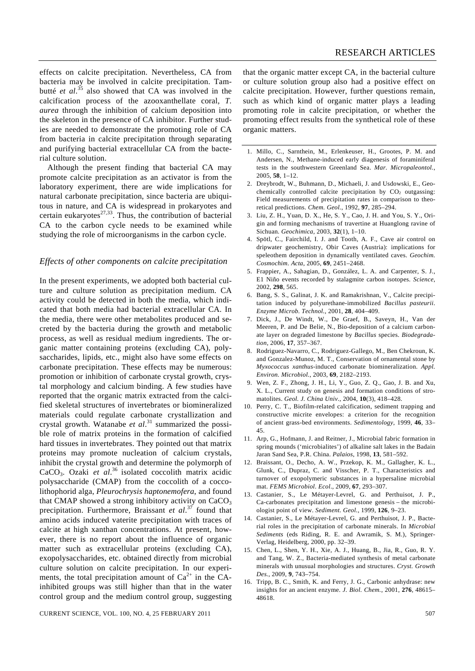effects on calcite precipitation. Nevertheless, CA from bacteria may be involved in calcite precipitation. Tambutté *et al*. 35 also showed that CA was involved in the calcification process of the azooxanthellate coral, *T. aurea* through the inhibition of calcium deposition into the skeleton in the presence of CA inhibitor. Further studies are needed to demonstrate the promoting role of CA from bacteria in calcite precipitation through separating and purifying bacterial extracellular CA from the bacterial culture solution.

 Although the present finding that bacterial CA may promote calcite precipitation as an activator is from the laboratory experiment, there are wide implications for natural carbonate precipitation, since bacteria are ubiquitous in nature, and CA is widespread in prokaryotes and certain eukaryotes $27,33$ . Thus, the contribution of bacterial CA to the carbon cycle needs to be examined while studying the role of microorganisms in the carbon cycle.

#### *Effects of other components on calcite precipitation*

In the present experiments, we adopted both bacterial culture and culture solution as precipitation medium. CA activity could be detected in both the media, which indicated that both media had bacterial extracellular CA. In the media, there were other metabolites produced and secreted by the bacteria during the growth and metabolic process, as well as residual medium ingredients. The organic matter containing proteins (excluding CA), polysaccharides, lipids, etc., might also have some effects on carbonate precipitation. These effects may be numerous: promotion or inhibition of carbonate crystal growth, crystal morphology and calcium binding. A few studies have reported that the organic matrix extracted from the calcified skeletal structures of invertebrates or biomineralized materials could regulate carbonate crystallization and crystal growth. Watanabe *et al*. 31 summarized the possible role of matrix proteins in the formation of calcified hard tissues in invertebrates. They pointed out that matrix proteins may promote nucleation of calcium crystals, inhibit the crystal growth and determine the polymorph of CaCO3. Ozaki *et al*. 36 isolated coccolith matrix acidic polysaccharide (CMAP) from the coccolith of a coccolithophorid alga, *Pleurochrysis haptonemofera*, and found that CMAP showed a strong inhibitory activity on  $CaCO<sub>3</sub>$ precipitation. Furthermore, Braissant *et al*. 37 found that amino acids induced vaterite precipitation with traces of calcite at high xanthan concentrations. At present, however, there is no report about the influence of organic matter such as extracellular proteins (excluding CA), exopolysaccharides, etc. obtained directly from microbial culture solution on calcite precipitation. In our experiments, the total precipitation amount of  $Ca^{2+}$  in the CAinhibited groups was still higher than that in the water control group and the medium control group, suggesting

that the organic matter except CA, in the bacterial culture or culture solution group also had a positive effect on calcite precipitation. However, further questions remain, such as which kind of organic matter plays a leading promoting role in calcite precipitation, or whether the promoting effect results from the synthetical role of these organic matters.

- 1. Millo, C., Sarnthein, M., Erlenkeuser, H., Grootes, P. M. and Andersen, N., Methane-induced early diagenesis of foraminiferal tests in the southwestern Greenland Sea. *Mar. Micropaleontol.*, 2005, **58**, 1–12.
- 2. Dreybrodt, W., Buhmann, D., Michaeli, J. and Usdowski, E., Geochemically controlled calcite precipitation by  $CO<sub>2</sub>$  outgassing: Field measurements of precipitation rates in comparison to theoretical predictions. *Chem. Geol.*, 1992, **97**, 285–294.
- 3. Liu, Z. H., Yuan, D. X., He, S. Y., Cao, J. H. and You, S. Y., Origin and forming mechanisms of travertine at Huanglong ravine of Sichuan. *Geochimica*, 2003, **32**(1), 1–10.
- 4. Spötl, C., Fairchild, I. J. and Tooth, A. F., Cave air control on dripwater geochemistry, Obir Caves (Austria): implications for speleothem deposition in dynamically ventilated caves. *Geochim. Cosmochim. Acta*, 2005, **69**, 2451–2468.
- 5. Frappier, A., Sahagian, D., González, L. A. and Carpenter, S. J., E1 Niño events recorded by stalagmite carbon isotopes. *Science*, 2002, **298**, 565.
- 6. Bang, S. S., Galinat, J. K. and Ramakrishnan, V., Calcite precipitation induced by polyurethane-immobilized *Bacillus pasteurii*. *Enzyme Microb. Technol.*, 2001, **28**, 404–409.
- 7. Dick, J., De Windt, W., De Graef, B., Saveyn, H., Van der Meeren, P. and De Belie, N., Bio-deposition of a calcium carbonate layer on degraded limestone by *Bacillus* species. *Biodegradation*, 2006, **17**, 357–367.
- 8. Rodriguez-Navarro, C., Rodriguez-Gallego, M., Ben Chekroun, K. and Gonzalez-Munoz, M. T., Conservation of ornamental stone by *Myxococcus xanthus*-induced carbonate biomineralization. *Appl. Environ. Microbiol.*, 2003, **69**, 2182–2193.
- 9. Wen, Z. F., Zhong, J. H., Li, Y., Guo, Z. Q., Gao, J. B. and Xu, X. L., Current study on genesis and formation conditions of stromatolites. *Geol. J. China Univ.*, 2004, **10**(3), 418–428.
- 10. Perry, C. T., Biofilm-related calcification, sediment trapping and constructive micrite envelopes: a criterion for the recognition of ancient grass-bed environments. *Sedimentology*, 1999, **46**, 33– 45.
- 11. Arp, G., Hofmann, J. and Reitner, J., Microbial fabric formation in spring mounds ('microbialites') of alkaline salt lakes in the Badain Jaran Sand Sea, P.R. China. *Palaios*, 1998, **13**, 581–592.
- 12. Braissant, O., Decho, A. W., Przekop, K. M., Gallagher, K. L., Glunk, C., Dupraz, C. and Visscher, P. T., Characteristics and turnover of exopolymeric substances in a hypersaline microbial mat. *FEMS Microbiol*. *Ecol*., 2009, **67**, 293–307.
- 13. Castanier, S., Le Métayer-Levrel, G. and Perthuisot, J. P., Ca-carbonates precipitation and limestone genesis – the microbiologist point of view. *Sediment. Geol.*, 1999, **126**, 9–23.
- 14. Castanier, S., Le Métayer-Levrel, G. and Perthuisot, J. P., Bacterial roles in the precipitation of carbonate minerals. In *Microbial Sediments* (eds Riding, R. E. and Awramik, S. M.), Springer-Verlag, Heidelberg, 2000, pp. 32–39.
- 15. Chen, L., Shen, Y. H., Xie, A. J., Huang, B., Jia, R., Guo, R. Y. and Tang, W. Z., Bacteria-mediated synthesis of metal carbonate minerals with unusual morphologies and structures. *Cryst. Growth Des.*, 2009, **9**, 743–754.
- 16. Tripp, B. C., Smith, K. and Ferry, J. G., Carbonic anhydrase: new insights for an ancient enzyme. *J. Biol. Chem.*, 2001, **276**, 48615– 48618.